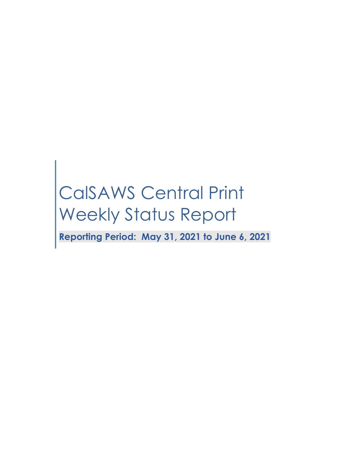# CalSAWS Central Print Weekly Status Report

**Reporting Period: May 31, 2021 to June 6, 2021**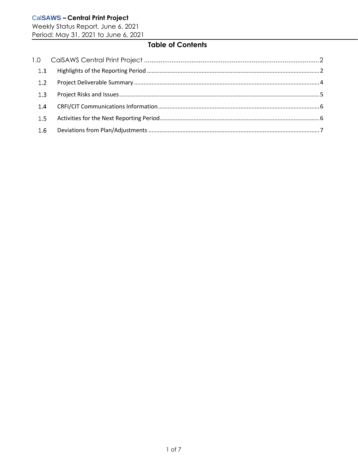Weekly Status Report, June 6, 2021 Period: May 31, 2021 to June 6, 2021

# **Table of Contents**

| 1.1 |  |
|-----|--|
| 1.2 |  |
| 1.3 |  |
| 1.4 |  |
| 1.5 |  |
| 1.6 |  |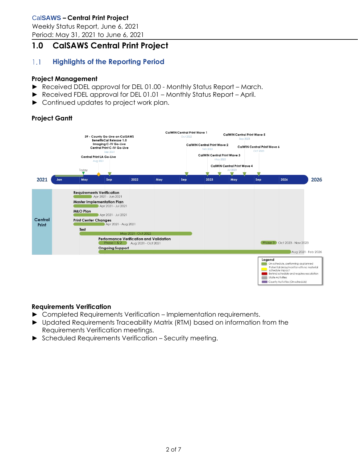Weekly Status Report, June 6, 2021 Period: May 31, 2021 to June 6, 2021

# <span id="page-2-0"></span>**1.0 CalSAWS Central Print Project**

#### <span id="page-2-1"></span> $1.1$ **Highlights of the Reporting Period**

## **Project Management**

- ► Received DDEL approval for DEL 01.00 Monthly Status Report March.
- ► Received FDEL approval for DEL 01.01 Monthly Status Report April.
- ► Continued updates to project work plan.

# **Project Gantt**



## **Requirements Verification**

- ► Completed Requirements Verification Implementation requirements.
- ► Updated Requirements Traceability Matrix (RTM) based on information from the Requirements Verification meetings.
- ► Scheduled Requirements Verification Security meeting.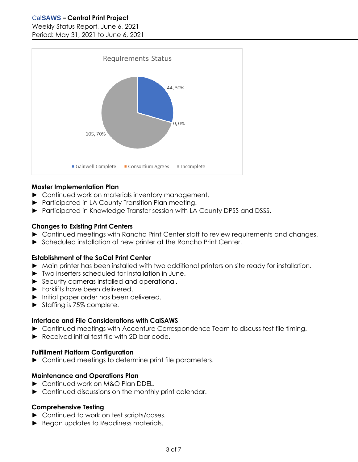Weekly Status Report, June 6, 2021 Period: May 31, 2021 to June 6, 2021



## **Master Implementation Plan**

- ► Continued work on materials inventory management.
- ► Participated in LA County Transition Plan meeting.
- ► Participated in Knowledge Transfer session with LA County DPSS and DSSS.

# **Changes to Existing Print Centers**

- ► Continued meetings with Rancho Print Center staff to review requirements and changes.
- ► Scheduled installation of new printer at the Rancho Print Center.

## **Establishment of the SoCal Print Center**

- ► Main printer has been installed with two additional printers on site ready for installation.
- ► Two inserters scheduled for installation in June.
- ► Security cameras installed and operational.
- ► Forklifts have been delivered.
- ► Initial paper order has been delivered.
- ► Staffing is 75% complete.

## **Interface and File Considerations with CalSAWS**

- ► Continued meetings with Accenture Correspondence Team to discuss test file timing.
- ► Received initial test file with 2D bar code.

## **Fulfillment Platform Configuration**

► Continued meetings to determine print file parameters.

## **Maintenance and Operations Plan**

- ► Continued work on M&O Plan DDEL.
- ► Continued discussions on the monthly print calendar.

## **Comprehensive Testing**

- ► Continued to work on test scripts/cases.
- ► Began updates to Readiness materials.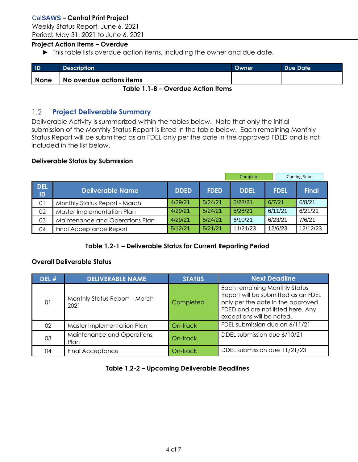Weekly Status Report, June 6, 2021 Period: May 31, 2021 to June 6, 2021

#### **Project Action Items – Overdue**

► This table lists overdue action items, including the owner and due date.

| $\overline{1}$                     | Description              | Owner | Due Date |  |  |  |
|------------------------------------|--------------------------|-------|----------|--|--|--|
| <b>None</b>                        | No overdue actions items |       |          |  |  |  |
| Table 1.1-8 – Overdue Action Items |                          |       |          |  |  |  |

#### <span id="page-4-0"></span> $1.2$ **Project Deliverable Summary**

Deliverable Activity is summarized within the tables below. Note that only the initial submission of the Monthly Status Report is listed in the table below. Each remaining Monthly Status Report will be submitted as an FDEL only per the date in the approved FDED and is not included in the list below.

#### **Deliverable Status by Submission**

|                  |                                 |             | Complete    |             | <b>Coming Soon</b> |              |
|------------------|---------------------------------|-------------|-------------|-------------|--------------------|--------------|
| <b>DEL</b><br>ID | <b>Deliverable Name</b>         | <b>DDED</b> | <b>FDED</b> | <b>DDEL</b> | <b>FDEL</b>        | <b>Final</b> |
| 01               | Monthly Status Report - March   | 4/29/21     | 5/24/21     | 5/28/21     | 6/7/21             | 6/8/21       |
| 02               | Master Implementation Plan      | 4/29/21     | 5/24/21     | 5/28/21     | 6/11/21            | 6/21/21      |
| 03               | Maintenance and Operations Plan | 4/29/21     | 5/24/21     | 6/10/21     | 6/23/21            | 7/6/21       |
| 04               | <b>Final Acceptance Report</b>  | 5/12/21     | 5/21/21     | 11/21/23    | 12/6/23            | 12/12/23     |

## **Table 1.2-1 – Deliverable Status for Current Reporting Period**

#### **Overall Deliverable Status**

| DEL # | <b>DELIVERABLE NAME</b>               | <b>STATUS</b> | <b>Next Deadline</b>                                                                                                                                                        |
|-------|---------------------------------------|---------------|-----------------------------------------------------------------------------------------------------------------------------------------------------------------------------|
| 01    | Monthly Status Report - March<br>2021 | Completed     | Each remaining Monthly Status<br>Report will be submitted as an FDEL<br>only per the date in the approved<br>FDED and are not listed here. Any<br>exceptions will be noted. |
| 02    | Master Implementation Plan            | On-track      | FDEL submission due on 6/11/21                                                                                                                                              |
| 03    | Maintenance and Operations<br>Plan    | On-track      | DDEL submission due 6/10/21                                                                                                                                                 |
| 04    | <b>Final Acceptance</b>               | On-track      | DDEL submission due 11/21/23                                                                                                                                                |

## **Table 1.2-2 – Upcoming Deliverable Deadlines**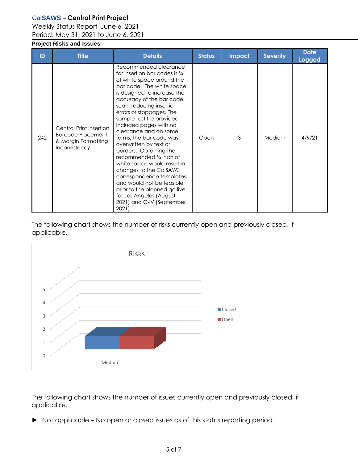Weekly Status Report, June 6, 2021

Period: May 31, 2021 to June 6, 2021

# <span id="page-5-0"></span>**Project Risks and Issues**

| ID  | <b>Title</b>                                                                                | <b>Details</b>                                                                                                                                                                                                                                                                                                                                                                                                                                                                                                                                                                                                                                                 | <b>Status</b> | <b>Impact</b> | <b>Severity</b> | <b>Date</b><br><b>Logged</b> |
|-----|---------------------------------------------------------------------------------------------|----------------------------------------------------------------------------------------------------------------------------------------------------------------------------------------------------------------------------------------------------------------------------------------------------------------------------------------------------------------------------------------------------------------------------------------------------------------------------------------------------------------------------------------------------------------------------------------------------------------------------------------------------------------|---------------|---------------|-----------------|------------------------------|
| 242 | Central Print Insertion<br><b>Barcode Placement</b><br>& Margin Formatting<br>Inconsistency | Recommended clearance<br>for insertion bar codes is 1/4<br>of white space around the<br>bar code. The white space<br>is designed to increase the<br>accuracy of the bar code<br>scan, reducing insertion<br>errors or stoppages. The<br>sample test file provided<br>included pages with no<br>clearance and on some<br>forms, the bar code was<br>overwritten by text or<br>borders. Obtaining the<br>recommended $\frac{1}{4}$ inch of<br>white space would result in<br>changes to the CalSAWS<br>correspondence templates<br>and would not be feasible<br>prior to the planned go live<br>for Los Angeles (August<br>2021) and C-IV (September<br>$2021$ . | Open          | 3             | Medium          | 4/9/21                       |

The following chart shows the number of risks currently open and previously closed, if applicable.



The following chart shows the number of issues currently open and previously closed, if applicable.

► Not applicable – No open or closed issues as of this status reporting period.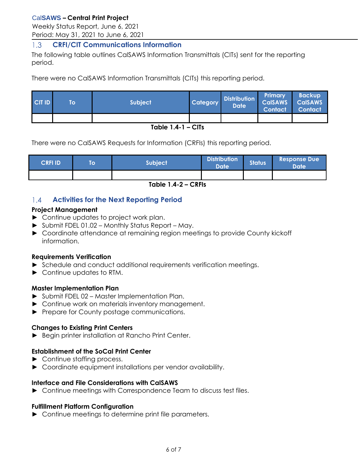Weekly Status Report, June 6, 2021 Period: May 31, 2021 to June 6, 2021

#### <span id="page-6-0"></span> $1.3$ **CRFI/CIT Communications Information**

The following table outlines CalSAWS Information Transmittals (CITs) sent for the reporting period.

There were no CalSAWS Information Transmittals (CITs) this reporting period.

| <b>CIT ID</b> | Τo | <b>Subject</b> | <b>Category</b> | <b>Distribution</b><br>Date | Primary<br><b>Contact</b> | <b>Backup</b><br>CalsAWS CalsAWS<br><b>Contact</b> |
|---------------|----|----------------|-----------------|-----------------------------|---------------------------|----------------------------------------------------|
|               |    |                |                 |                             |                           |                                                    |

## **Table 1.4-1 – CITs**

There were no CalSAWS Requests for Information (CRFIs) this reporting period.

| <b>CRFI ID</b> | TO | Subject | <b>Distribution</b><br>Date <sup>1</sup> | <b>Status</b> | <b>Response Due</b><br><b>Date</b> |
|----------------|----|---------|------------------------------------------|---------------|------------------------------------|
|                |    |         |                                          |               |                                    |

**Table 1.4-2 – CRFIs**

#### <span id="page-6-1"></span> $1.4$ **Activities for the Next Reporting Period**

## **Project Management**

- ► Continue updates to project work plan.
- ► Submit FDEL 01.02 Monthly Status Report May.
- ► Coordinate attendance at remaining region meetings to provide County kickoff information.

# **Requirements Verification**

- ► Schedule and conduct additional requirements verification meetings.
- ► Continue updates to RTM.

## **Master Implementation Plan**

- ► Submit FDEL 02 Master Implementation Plan.
- ► Continue work on materials inventory management.
- ► Prepare for County postage communications.

## **Changes to Existing Print Centers**

► Begin printer installation at Rancho Print Center.

# **Establishment of the SoCal Print Center**

- ► Continue staffing process.
- ► Coordinate equipment installations per vendor availability.

## **Interface and File Considerations with CalSAWS**

► Continue meetings with Correspondence Team to discuss test files.

## **Fulfillment Platform Configuration**

► Continue meetings to determine print file parameters.